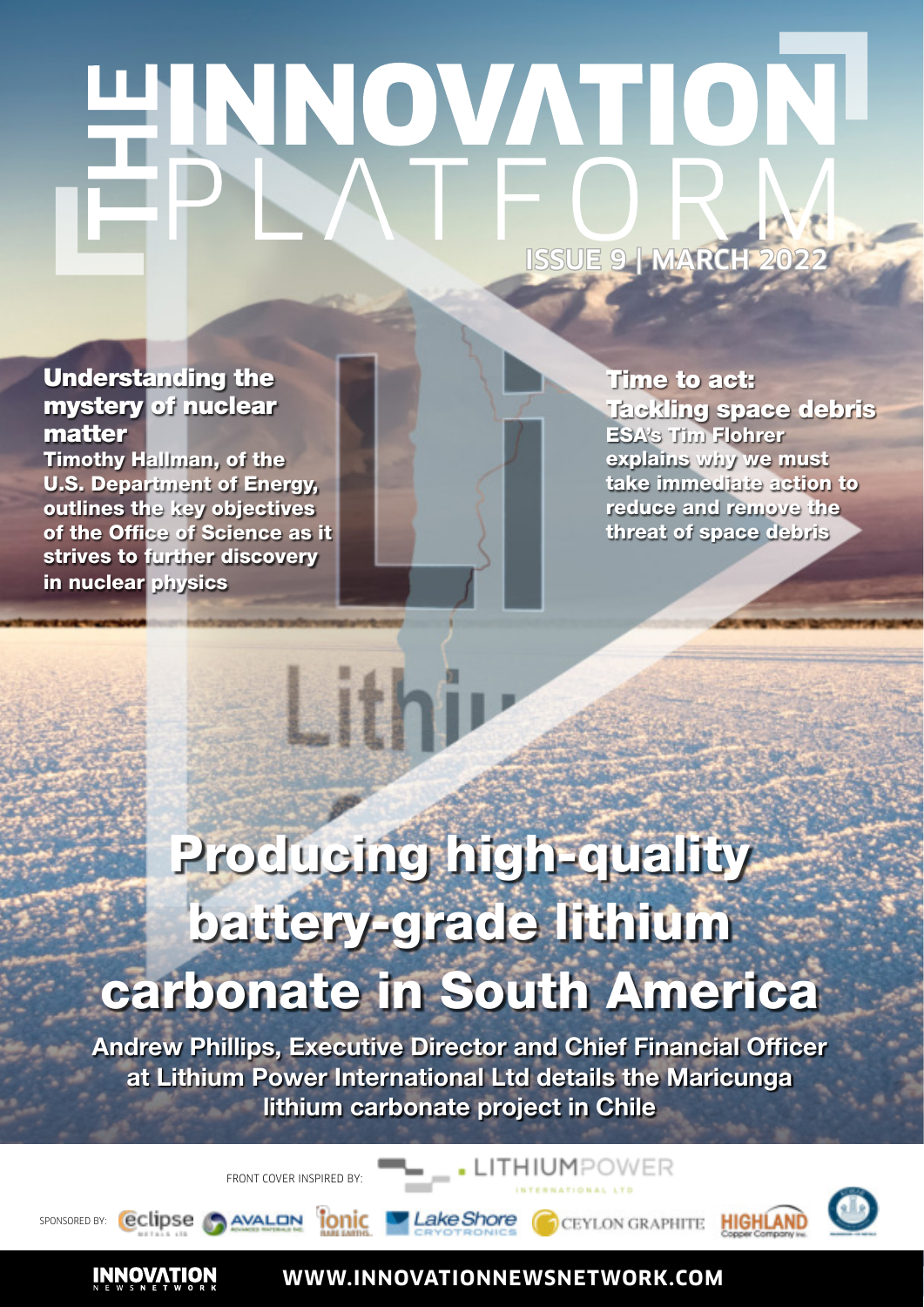# HNNOVATION **ISSUE 9 | MARCH 2022**

# Understanding the mystery of nuclear matter

Timothy Hallman, of the U.S. Department of Energy, outlines the key objectives of the Office of Science as it strives to further discovery in nuclear physics

Time to act: Tackling space debris ESA's Tim Flohrer explains why we must take immediate action to reduce and remove the threat of space debris

# Producing high-quality battery-grade lithium carbonate in South America

**lithi** 

Andrew Phillips, Executive Director and Chief Financial Officer at Lithium Power International Ltd details the Maricunga lithium carbonate project in Chile

FRONT COVER INSPIRED BY:



**INNOVATION** 



**WWW.INNOVATIONNEWSNETWORK.COM**

. LITHIUMPOWER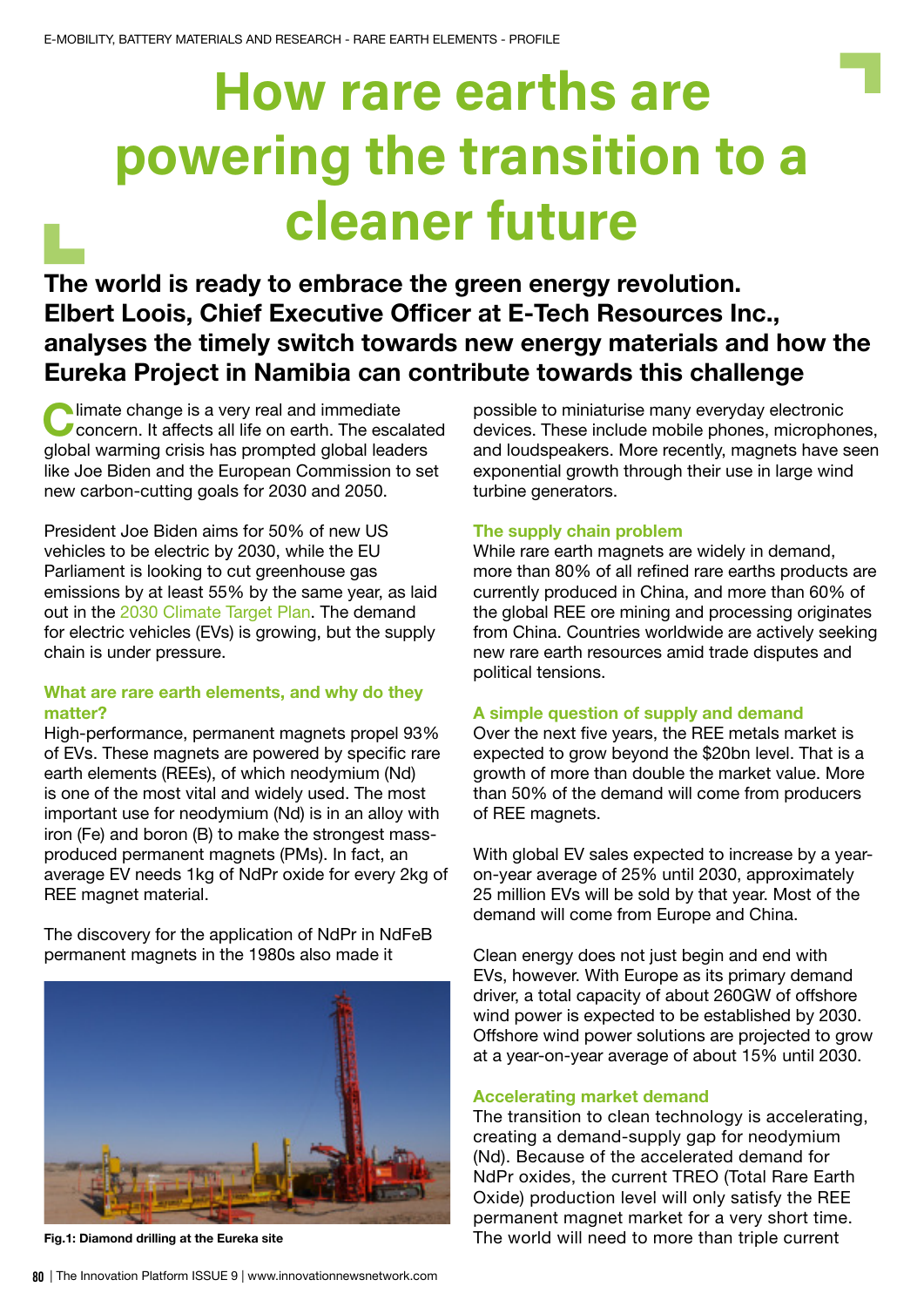# How rare earths are powering the transition to a cleaner future

The world is ready to embrace the green energy revolution. Elbert Loois, Chief Executive Officer at E-Tech Resources Inc., analyses the timely switch towards new energy materials and how the Eureka Project in Namibia can contribute towards this challenge

Climate change is a very real and immediate<br>Concern. It affects all life on earth. The esca **Concern. It affects all life on earth. The escalated** global warming crisis has prompted global leaders like Joe Biden and the European Commission to set new carbon-cutting goals for 2030 and 2050.

President Joe Biden aims for 50% of new US vehicles to be electric by 2030, while the EU Parliament is looking to cut greenhouse gas emissions by at least 55% by the same year, as laid out in the [2030 Climate Target Plan.](https://ec.europa.eu/clima/eu-action/european-green-deal/2030-climate-target-plan_en) The demand for electric vehicles (EVs) is growing, but the supply chain is under pressure.

# What are rare earth elements, and why do they matter?

High-performance, permanent magnets propel 93% of EVs. These magnets are powered by specific rare earth elements (REEs), of which neodymium (Nd) is one of the most vital and widely used. The most important use for neodymium (Nd) is in an alloy with iron (Fe) and boron (B) to make the strongest massproduced permanent magnets (PMs). In fact, an average EV needs 1kg of NdPr oxide for every 2kg of REE magnet material.

The discovery for the application of NdPr in NdFeB permanent magnets in the 1980s also made it



possible to miniaturise many everyday electronic devices. These include mobile phones, microphones, and loudspeakers. More recently, magnets have seen exponential growth through their use in large wind turbine generators.

#### The supply chain problem

While rare earth magnets are widely in demand, more than 80% of all refined rare earths products are currently produced in China, and more than 60% of the global REE ore mining and processing originates from China. Countries worldwide are actively seeking new rare earth resources amid trade disputes and political tensions.

### A simple question of supply and demand

Over the next five years, the REE metals market is expected to grow beyond the \$20bn level. That is a growth of more than double the market value. More than 50% of the demand will come from producers of REE magnets.

With global EV sales expected to increase by a yearon-year average of 25% until 2030, approximately 25 million EVs will be sold by that year. Most of the demand will come from Europe and China.

Clean energy does not just begin and end with EVs, however. With Europe as its primary demand driver, a total capacity of about 260GW of offshore wind power is expected to be established by 2030. Offshore wind power solutions are projected to grow at a year-on-year average of about 15% until 2030.

#### Accelerating market demand

The transition to clean technology is accelerating, creating a demand-supply gap for neodymium (Nd). Because of the accelerated demand for NdPr oxides, the current TREO (Total Rare Earth Oxide) production level will only satisfy the REE permanent magnet market for a very short time. Fig.1: Diamond drilling at the Eureka site The world will need to more than triple current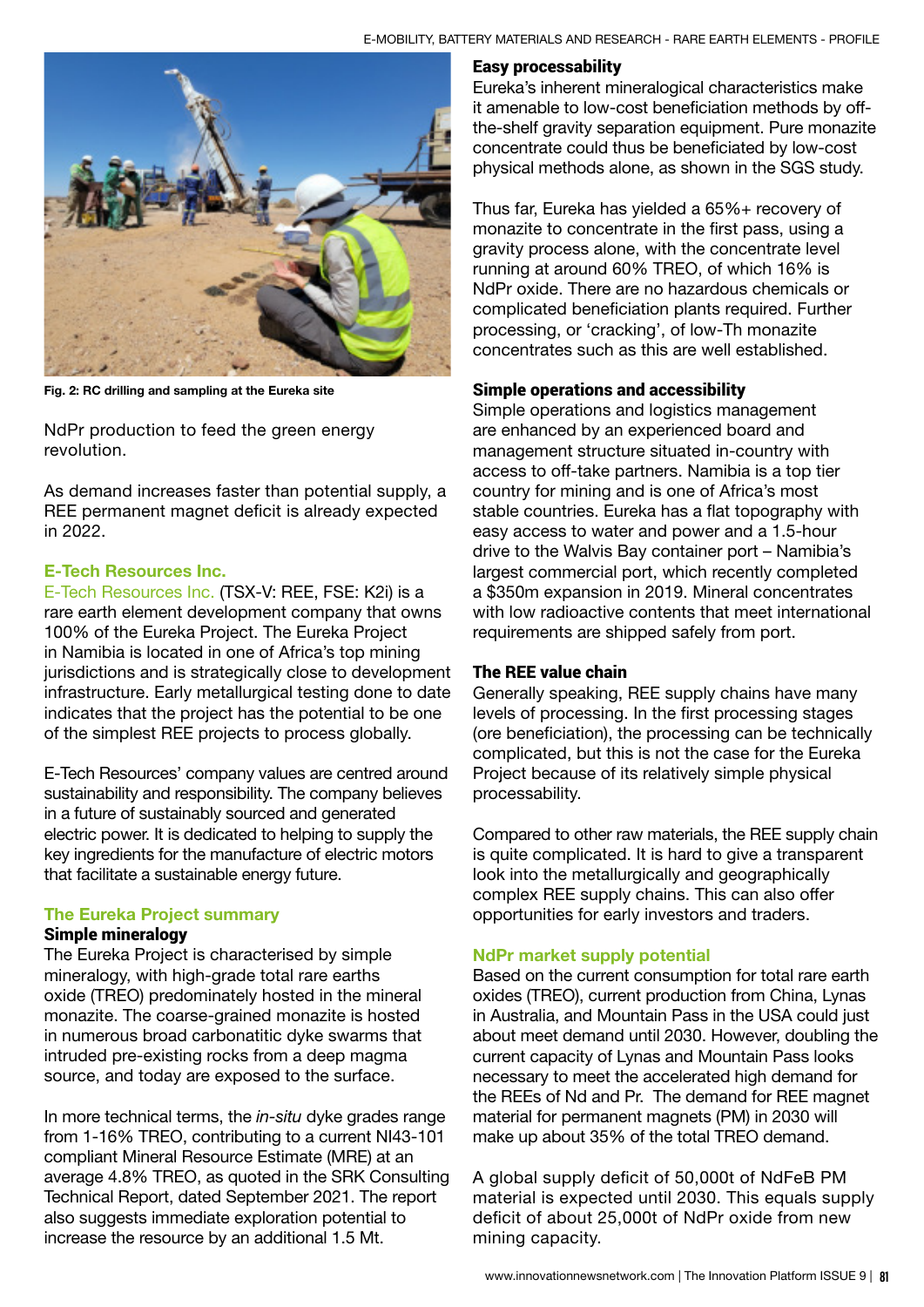

Fig. 2: RC drilling and sampling at the Eureka site

NdPr production to feed the green energy revolution.

As demand increases faster than potential supply, a REE permanent magnet deficit is already expected in 2022.

#### E-Tech Resources Inc.

[E-Tech Resources Inc.](https://etech-resources.com/) (TSX-V: REE, FSE: K2i) is a rare earth element development company that owns 100% of the Eureka Project. The Eureka Project in Namibia is located in one of Africa's top mining jurisdictions and is strategically close to development infrastructure. Early metallurgical testing done to date indicates that the project has the potential to be one of the simplest REE projects to process globally.

E-Tech Resources' company values are centred around sustainability and responsibility. The company believes in a future of sustainably sourced and generated electric power. It is dedicated to helping to supply the key ingredients for the manufacture of electric motors that facilitate a sustainable energy future.

#### The Eureka Project summary

#### Simple mineralogy

The Eureka Project is characterised by simple mineralogy, with high-grade total rare earths oxide (TREO) predominately hosted in the mineral monazite. The coarse-grained monazite is hosted in numerous broad carbonatitic dyke swarms that intruded pre-existing rocks from a deep magma source, and today are exposed to the surface.

In more technical terms, the in-situ dyke grades range from 1-16% TREO, contributing to a current NI43-101 compliant Mineral Resource Estimate (MRE) at an average 4.8% TREO, as quoted in the SRK Consulting Technical Report, dated September 2021. The report also suggests immediate exploration potential to increase the resource by an additional 1.5 Mt.

## Easy processability

Eureka's inherent mineralogical characteristics make it amenable to low-cost beneficiation methods by offthe-shelf gravity separation equipment. Pure monazite concentrate could thus be beneficiated by low-cost physical methods alone, as shown in the SGS study.

Thus far, Eureka has yielded a 65%+ recovery of monazite to concentrate in the first pass, using a gravity process alone, with the concentrate level running at around 60% TREO, of which 16% is NdPr oxide. There are no hazardous chemicals or complicated beneficiation plants required. Further processing, or 'cracking', of low-Th monazite concentrates such as this are well established.

#### Simple operations and accessibility

Simple operations and logistics management are enhanced by an experienced board and management structure situated in-country with access to off-take partners. Namibia is a top tier country for mining and is one of Africa's most stable countries. Eureka has a flat topography with easy access to water and power and a 1.5-hour drive to the Walvis Bay container port – Namibia's largest commercial port, which recently completed a \$350m expansion in 2019. Mineral concentrates with low radioactive contents that meet international requirements are shipped safely from port.

#### The REE value chain

Generally speaking, REE supply chains have many levels of processing. In the first processing stages (ore beneficiation), the processing can be technically complicated, but this is not the case for the Eureka Project because of its relatively simple physical processability.

Compared to other raw materials, the REE supply chain is quite complicated. It is hard to give a transparent look into the metallurgically and geographically complex REE supply chains. This can also offer opportunities for early investors and traders.

#### NdPr market supply potential

Based on the current consumption for total rare earth oxides (TREO), current production from China, Lynas in Australia, and Mountain Pass in the USA could just about meet demand until 2030. However, doubling the current capacity of Lynas and Mountain Pass looks necessary to meet the accelerated high demand for the REEs of Nd and Pr. The demand for REE magnet material for permanent magnets (PM) in 2030 will make up about 35% of the total TREO demand.

A global supply deficit of 50,000t of NdFeB PM material is expected until 2030. This equals supply deficit of about 25,000t of NdPr oxide from new mining capacity.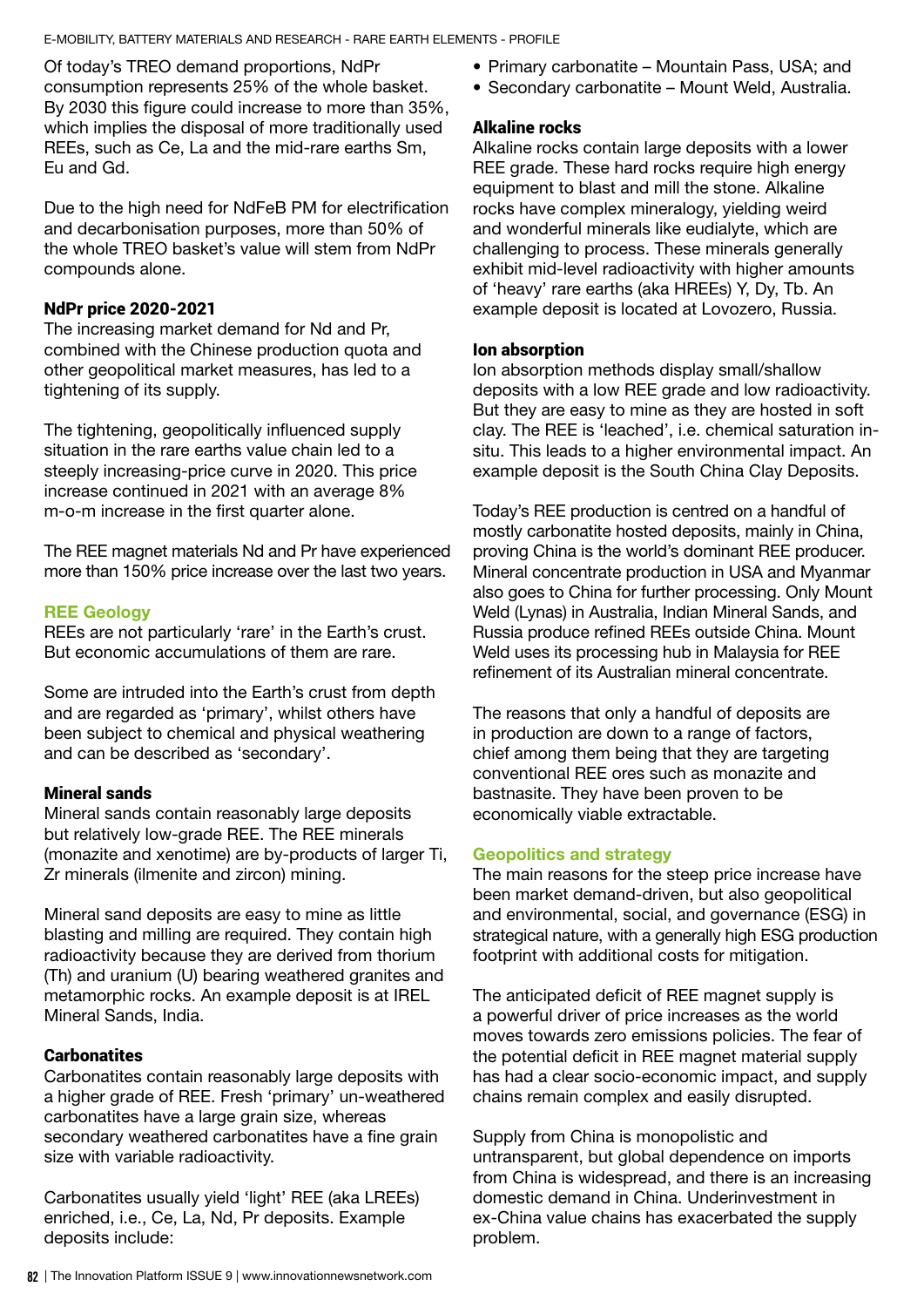E-MOBILITY, BATTERY MATERIALS AND RESEARCH - RARE EARTH ELEMENTS - PROFILE

Of today's TREO demand proportions, NdPr consumption represents 25% of the whole basket. By 2030 this figure could increase to more than 35%, which implies the disposal of more traditionally used REEs, such as Ce, La and the mid-rare earths Sm, Eu and Gd.

Due to the high need for NdFeB PM for electrification and decarbonisation purposes, more than 50% of the whole TREO basket's value will stem from NdPr compounds alone.

## NdPr price 2020-2021

The increasing market demand for Nd and Pr, combined with the Chinese production quota and other geopolitical market measures, has led to a tightening of its supply.

The tightening, geopolitically influenced supply situation in the rare earths value chain led to a steeply increasing-price curve in 2020. This price increase continued in 2021 with an average 8% m-o-m increase in the first quarter alone.

The REE magnet materials Nd and Pr have experienced more than 150% price increase over the last two years.

# REE Geology

REEs are not particularly 'rare' in the Earth's crust. But economic accumulations of them are rare.

Some are intruded into the Earth's crust from depth and are regarded as 'primary', whilst others have been subject to chemical and physical weathering and can be described as 'secondary'.

### Mineral sands

Mineral sands contain reasonably large deposits but relatively low-grade REE. The REE minerals (monazite and xenotime) are by-products of larger Ti, Zr minerals (ilmenite and zircon) mining.

Mineral sand deposits are easy to mine as little blasting and milling are required. They contain high radioactivity because they are derived from thorium (Th) and uranium (U) bearing weathered granites and metamorphic rocks. An example deposit is at IREL Mineral Sands, India.

# **Carbonatites**

Carbonatites contain reasonably large deposits with a higher grade of REE. Fresh 'primary' un-weathered carbonatites have a large grain size, whereas secondary weathered carbonatites have a fine grain size with variable radioactivity.

Carbonatites usually yield 'light' REE (aka LREEs) enriched, i.e., Ce, La, Nd, Pr deposits. Example deposits include:

- Primary carbonatite Mountain Pass, USA; and
- Secondary carbonatite Mount Weld, Australia.

## Alkaline rocks

Alkaline rocks contain large deposits with a lower REE grade. These hard rocks require high energy equipment to blast and mill the stone. Alkaline rocks have complex mineralogy, yielding weird and wonderful minerals like eudialyte, which are challenging to process. These minerals generally exhibit mid-level radioactivity with higher amounts of 'heavy' rare earths (aka HREEs) Y, Dy, Tb. An example deposit is located at Lovozero, Russia.

### Ion absorption

Ion absorption methods display small/shallow deposits with a low REE grade and low radioactivity. But they are easy to mine as they are hosted in soft clay. The REE is 'leached', i.e. chemical saturation insitu. This leads to a higher environmental impact. An example deposit is the South China Clay Deposits.

Today's REE production is centred on a handful of mostly carbonatite hosted deposits, mainly in China, proving China is the world's dominant REE producer. Mineral concentrate production in USA and Myanmar also goes to China for further processing. Only Mount Weld (Lynas) in Australia, Indian Mineral Sands, and Russia produce refined REEs outside China. Mount Weld uses its processing hub in Malaysia for REE refinement of its Australian mineral concentrate.

The reasons that only a handful of deposits are in production are down to a range of factors, chief among them being that they are targeting conventional REE ores such as monazite and bastnasite. They have been proven to be economically viable extractable.

### Geopolitics and strategy

The main reasons for the steep price increase have been market demand-driven, but also geopolitical and environmental, social, and governance (ESG) in strategical nature, with a generally high ESG production footprint with additional costs for mitigation.

The anticipated deficit of REE magnet supply is a powerful driver of price increases as the world moves towards zero emissions policies. The fear of the potential deficit in REE magnet material supply has had a clear socio-economic impact, and supply chains remain complex and easily disrupted.

Supply from China is monopolistic and untransparent, but global dependence on imports from China is widespread, and there is an increasing domestic demand in China. Underinvestment in ex-China value chains has exacerbated the supply problem.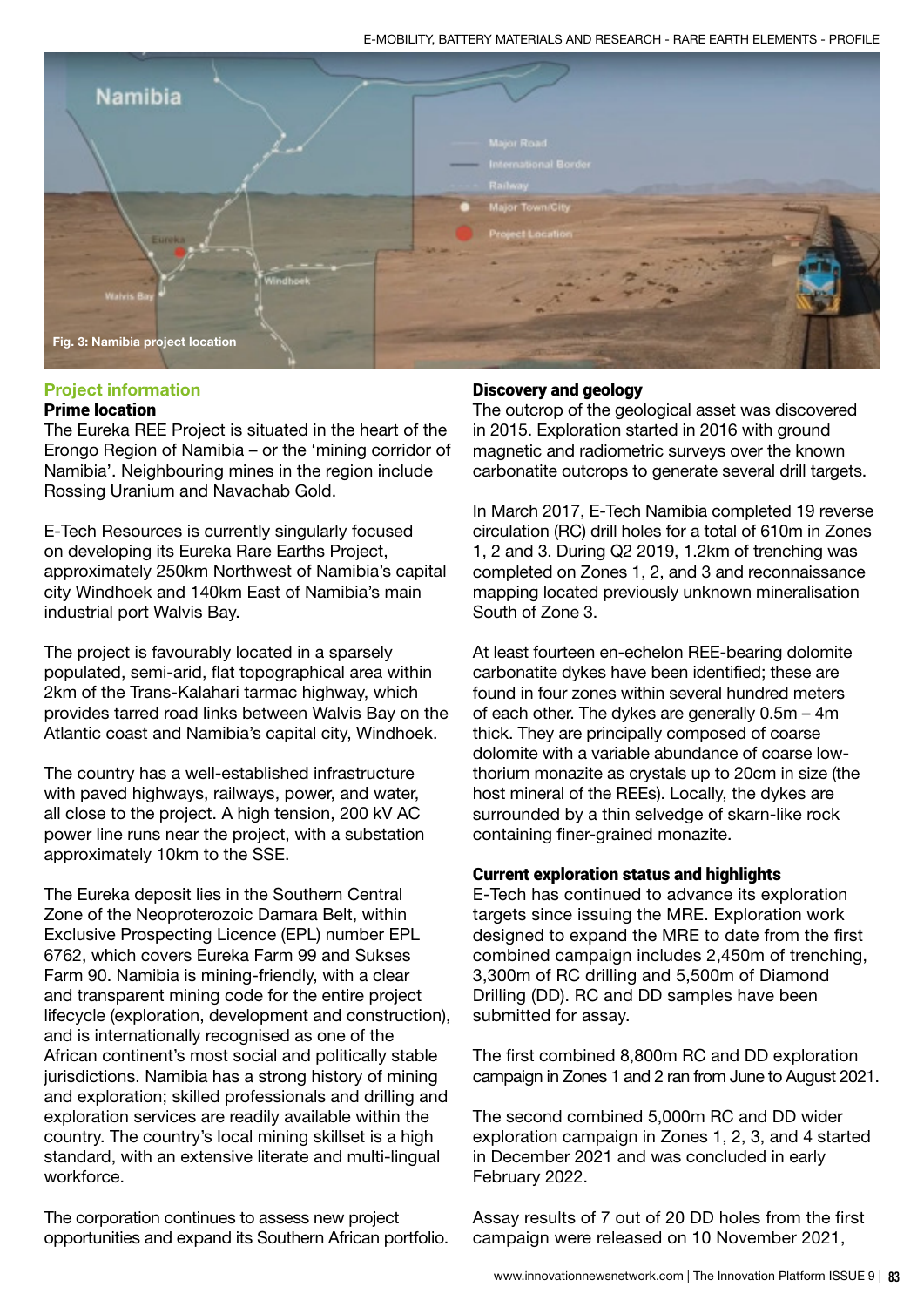

### Project information

#### Prime location

The Eureka REE Project is situated in the heart of the Erongo Region of Namibia – or the 'mining corridor of Namibia'. Neighbouring mines in the region include Rossing Uranium and Navachab Gold.

E-Tech Resources is currently singularly focused on developing its Eureka Rare Earths Project, approximately 250km Northwest of Namibia's capital city Windhoek and 140km East of Namibia's main industrial port Walvis Bay.

The project is favourably located in a sparsely populated, semi-arid, flat topographical area within 2km of the Trans-Kalahari tarmac highway, which provides tarred road links between Walvis Bay on the Atlantic coast and Namibia's capital city, Windhoek.

The country has a well-established infrastructure with paved highways, railways, power, and water, all close to the project. A high tension, 200 kV AC power line runs near the project, with a substation approximately 10km to the SSE.

The Eureka deposit lies in the Southern Central Zone of the Neoproterozoic Damara Belt, within Exclusive Prospecting Licence (EPL) number EPL 6762, which covers Eureka Farm 99 and Sukses Farm 90. Namibia is mining-friendly, with a clear and transparent mining code for the entire project lifecycle (exploration, development and construction), and is internationally recognised as one of the African continent's most social and politically stable jurisdictions. Namibia has a strong history of mining and exploration; skilled professionals and drilling and exploration services are readily available within the country. The country's local mining skillset is a high standard, with an extensive literate and multi-lingual workforce.

The corporation continues to assess new project opportunities and expand its Southern African portfolio.

#### Discovery and geology

The outcrop of the geological asset was discovered in 2015. Exploration started in 2016 with ground magnetic and radiometric surveys over the known carbonatite outcrops to generate several drill targets.

In March 2017, E-Tech Namibia completed 19 reverse circulation (RC) drill holes for a total of 610m in Zones 1, 2 and 3. During Q2 2019, 1.2km of trenching was completed on Zones 1, 2, and 3 and reconnaissance mapping located previously unknown mineralisation South of Zone 3.

At least fourteen en-echelon REE-bearing dolomite carbonatite dykes have been identified; these are found in four zones within several hundred meters of each other. The dykes are generally 0.5m – 4m thick. They are principally composed of coarse dolomite with a variable abundance of coarse lowthorium monazite as crystals up to 20cm in size (the host mineral of the REEs). Locally, the dykes are surrounded by a thin selvedge of skarn-like rock containing finer-grained monazite.

#### Current exploration status and highlights

E-Tech has continued to advance its exploration targets since issuing the MRE. Exploration work designed to expand the MRE to date from the first combined campaign includes 2,450m of trenching, 3,300m of RC drilling and 5,500m of Diamond Drilling (DD). RC and DD samples have been submitted for assay.

The first combined 8,800m RC and DD exploration campaign in Zones 1 and 2 ran from June to August 2021.

The second combined 5,000m RC and DD wider exploration campaign in Zones 1, 2, 3, and 4 started in December 2021 and was concluded in early February 2022.

Assay results of 7 out of 20 DD holes from the first campaign were released on 10 November 2021,